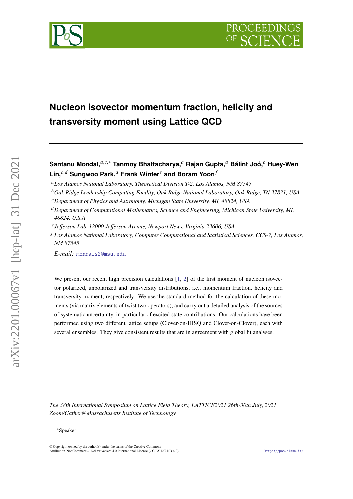



# **Nucleon isovector momentum fraction, helicity and transversity moment using Lattice QCD**

**Santanu Mondal,**<sup>a, $c,∗$ </sup> **Tanmoy Bhattacharya,**<sup>a</sup> Rajan Gupta,<sup>a</sup> Bálint Joó,<sup>b</sup> Huey-Wen Lin,<sup>*c,d*</sup> Sungwoo Park,<sup>*a*</sup> Frank Winter<sup>*e*</sup> and Boram Yoon<sup>*f*</sup>

*Los Alamos National Laboratory, Theoretical Division T-2, Los Alamos, NM 87545*

- *Department of Computational Mathematics, Science and Engineering, Michigan State University, MI, 48824, U.S.A*
- *Jefferson Lab, 12000 Jefferson Avenue, Newport News, Virginia 23606, USA*
- *Los Alamos National Laboratory, Computer Computational and Statistical Sciences, CCS-7, Los Alamos, NM 87545*

*E-mail:* [mondals2@msu.edu](mailto:mondals2@msu.edu)

We present our recent high precision calculations  $[1, 2]$  $[1, 2]$  $[1, 2]$  of the first moment of nucleon isovector polarized, unpolarized and transversity distributions, i.e., momentum fraction, helicity and transversity moment, respectively. We use the standard method for the calculation of these moments (via matrix elements of twist two operators), and carry out a detailed analysis of the sources of systematic uncertainty, in particular of excited state contributions. Our calculations have been performed using two different lattice setups (Clover-on-HISQ and Clover-on-Clover), each with several ensembles. They give consistent results that are in agreement with global fit analyses.

*The 38th International Symposium on Lattice Field Theory, LATTICE2021 26th-30th July, 2021 Zoom/Gather@Massachusetts Institute of Technology*

arXiv:2201.00067v1 [hep-lat] 31 Dec 2021

 $a$ rXiv:2201.00067v1 [hep-lat] 31 Dec 2021

*Oak Ridge Leadership Computing Facility, Oak Ridge National Laboratory, Oak Ridge, TN 37831, USA*

*Department of Physics and Astronomy, Michigan State University, MI, 48824, USA*

<sup>∗</sup>Speaker

 $\odot$  Copyright owned by the author(s) under the terms of the Creative Common Attribution-NonCommercial-NoDerivatives 4.0 International License (CC BY-NC-ND 4.0). <https://pos.sissa.it/>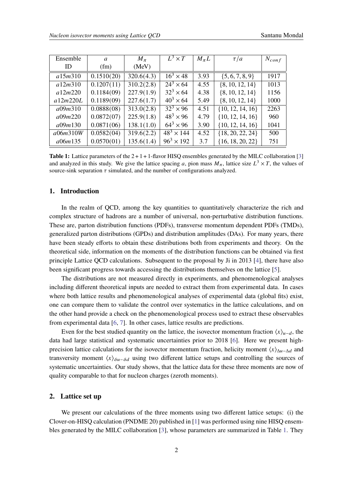<span id="page-1-0"></span>

| Ensemble | a          | $M_{\pi}$  | $L^3 \times T$              | $M_{\pi}L$ | $\tau/a$             | $N_{conf}$ |
|----------|------------|------------|-----------------------------|------------|----------------------|------------|
| ID       | (fm)       | (MeV)      |                             |            |                      |            |
| a15m310  | 0.1510(20) | 320.6(4.3) | $16^3 \times 48$            | 3.93       | $\{5, 6, 7, 8, 9\}$  | 1917       |
| a12m310  | 0.1207(11) | 310.2(2.8) | $\overline{24^3 \times 64}$ | 4.55       | $\{8, 10, 12, 14\}$  | 1013       |
| a12m220  | 0.1184(09) | 227.9(1.9) | $32^3 \times 64$            | 4.38       | $\{8, 10, 12, 14\}$  | 1156       |
| a12m220L | 0.1189(09) | 227.6(1.7) | $40^3 \times 64$            | 5.49       | $\{8, 10, 12, 14\}$  | 1000       |
| a09m310  | 0.0888(08) | 313.0(2.8) | $\overline{32^3} \times 96$ | 4.51       | $\{10, 12, 14, 16\}$ | 2263       |
| a09m220  | 0.0872(07) | 225.9(1.8) | $48^3 \times 96$            | 4.79       | $\{10, 12, 14, 16\}$ | 960        |
| a09m130  | 0.0871(06) | 138.1(1.0) | $64^3 \times 96$            | 3.90       | $\{10, 12, 14, 16\}$ | 1041       |
| a06m310W | 0.0582(04) | 319.6(2.2) | $48^{3} \times 144$         | 4.52       | ${18, 20, 22, 24}$   | 500        |
| a06m135  | 0.0570(01) | 135.6(1.4) | $96^3 \times 192$           | 3.7        | $\{16, 18, 20, 22\}$ | 751        |

**Table 1:** Lattice parameters of the  $2 + 1 + 1$ -flavor HISQ ensembles generated by the MILC collaboration [\[3\]](#page-8-2) and analyzed in this study. We give the lattice spacing a, pion mass  $M_{\pi}$ , lattice size  $L^3 \times T$ , the values of source-sink separation  $\tau$  simulated, and the number of configurations analyzed.

# **1. Introduction**

In the realm of OCD, among the key quantities to quantitatively characterize the rich and complex structure of hadrons are a number of universal, non-perturbative distribution functions. These are, parton distribution functions (PDFs), transverse momentum dependent PDFs (TMDs), generalized parton distributions (GPDs) and distribution amplitudes (DAs). For many years, there have been steady efforts to obtain these distributions both from experiments and theory. On the theoretical side, information on the moments of the distribution functions can be obtained via first principle Lattice QCD calculations. Subsequent to the proposal by Ji in 2013 [\[4\]](#page-8-3), there have also been significant progress towards accessing the distributions themselves on the lattice [\[5\]](#page-8-4).

The distributions are not measured directly in experiments, and phenomenological analyses including different theoretical inputs are needed to extract them from experimental data. In cases where both lattice results and phenomenological analyses of experimental data (global fits) exist, one can compare them to validate the control over systematics in the lattice calculations, and on the other hand provide a check on the phenomenological process used to extract these observables from experimental data [\[6,](#page-8-5) [7\]](#page-8-6). In other cases, lattice results are predictions.

Even for the best studied quantity on the lattice, the isovector momentum fraction  $\langle x \rangle_{u-d}$ , the data had large statistical and systematic uncertainties prior to 2018 [\[6\]](#page-8-5). Here we present highprecision lattice calculations for the isovector momentum fraction, helicity moment  $\langle x \rangle_{\Delta u-\Delta d}$  and transversity moment  $\langle x \rangle_{\delta u-\delta d}$  using two different lattice setups and controlling the sources of systematic uncertainties. Our study shows, that the lattice data for these three moments are now of quality comparable to that for nucleon charges (zeroth moments).

#### **2. Lattice set up**

We present our calculations of the three moments using two different lattice setups: (i) the Clover-on-HISQ calculation (PNDME 20) published in [\[1\]](#page-8-0) was performed using nine HISQ ensembles generated by the MILC collaboration [\[3\]](#page-8-2), whose parameters are summarized in Table [1.](#page-1-0) They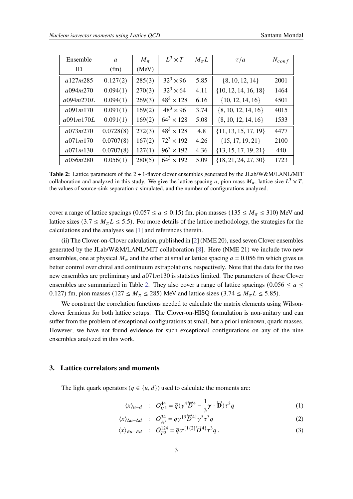<span id="page-2-0"></span>

| Ensemble  | a         | $M_{\pi}$ | $L^3 \times T$    | $M_{\pi}L$ | $\tau/a$                 | $N_{conf}$ |
|-----------|-----------|-----------|-------------------|------------|--------------------------|------------|
| ID        | (fm)      | (MeV)     |                   |            |                          |            |
| a127m285  | 0.127(2)  | 285(3)    | $32^3 \times 96$  | 5.85       | $\{8, 10, 12, 14\}$      | 2001       |
| a094m270  | 0.094(1)  | 270(3)    | $32^3 \times 64$  | 4.11       | $\{10, 12, 14, 16, 18\}$ | 1464       |
| a094m270L | 0.094(1)  | 269(3)    | $48^3 \times 128$ | 6.16       | $\{10, 12, 14, 16\}$     | 4501       |
| a091m170  | 0.091(1)  | 169(2)    | $48^3 \times 96$  | 3.74       | $\{8, 10, 12, 14, 16\}$  | 4015       |
| a091m170L | 0.091(1)  | 169(2)    | $64^3 \times 128$ | 5.08       | $\{8, 10, 12, 14, 16\}$  | 1533       |
| a073m270  | 0.0728(8) | 272(3)    | $48^3 \times 128$ | 4.8        | $\{11, 13, 15, 17, 19\}$ | 4477       |
| a071m170  | 0.0707(8) | 167(2)    | $72^3 \times 192$ | 4.26       | $\{15, 17, 19, 21\}$     | 2100       |
| a071m130  | 0.0707(8) | 127(1)    | $96^3 \times 192$ | 4.36       | $\{13, 15, 17, 19, 21\}$ | 440        |
| a056m280  | 0.056(1)  | 280(5)    | $64^3 \times 192$ | 5.09       | $\{18, 21, 24, 27, 30\}$ | 1723       |

**Table 2:** Lattice parameters of the 2 + 1-flavor clover ensembles generated by the JLab/W&M/LANL/MIT collaboration and analyzed in this study. We give the lattice spacing a, pion mass  $M_{\pi}$ , lattice size  $L^3 \times T$ , the values of source-sink separation  $\tau$  simulated, and the number of configurations analyzed.

cover a range of lattice spacings (0.057  $\le a \le 0.15$ ) fm, pion masses (135  $\le M_\pi \le 310$ ) MeV and lattice sizes (3.7  $\leq M_{\pi}L \leq$  5.5). For more details of the lattice methodology, the strategies for the calculations and the analyses see [\[1\]](#page-8-0) and references therein.

(ii) The Clover-on-Clover calculation, published in [\[2\]](#page-8-1) (NME 20), used seven Clover ensembles generated by the JLab/W&M/LANL/MIT collaboration [\[8\]](#page-8-7). Here (NME 21) we include two new ensembles, one at physical  $M_{\pi}$  and the other at smaller lattice spacing  $a = 0.056$  fm which gives us better control over chiral and continuum extrapolations, respectively. Note that the data for the two new ensembles are preliminary and  $a071m130$  is statistics limited. The parameters of these Clover ensembles are summarized in Table [2.](#page-2-0) They also cover a range of lattice spacings (0.056  $\le a \le$ 0.127) fm, pion masses (127  $\leq M_{\pi} \leq$  285) MeV and lattice sizes (3.74  $\leq M_{\pi}L \leq$  5.85).

We construct the correlation functions needed to calculate the matrix elements using Wilsonclover fermions for both lattice setups. The Clover-on-HISQ formulation is non-unitary and can suffer from the problem of exceptional configurations at small, but a priori unknown, quark masses. However, we have not found evidence for such exceptional configurations on any of the nine ensembles analyzed in this work.

## **3. Lattice correlators and moments**

The light quark operators ( $q \in \{u, d\}$ ) used to calculate the moments are:

$$
\langle x \rangle_{u-d} \quad : \quad O_{V^3}^{44} = \overline{q}(\gamma^4 \overleftrightarrow{D}^4 - \frac{1}{3}\gamma \cdot \overleftrightarrow{D})\tau^3 q \tag{1}
$$

$$
\langle x \rangle_{\Delta u - \Delta d} \quad : \quad O_{A^3}^{34} = \overline{q} \gamma^{\{3\}} \overline{D}^{4\}} \gamma^5 \tau^3 q \tag{2}
$$

$$
\langle x \rangle_{\delta u - \delta d} \quad : \quad O_{T^3}^{124} = \overline{q} \sigma^{[1\{2\}\overleftrightarrow{D}^4]} \tau^3 q \,. \tag{3}
$$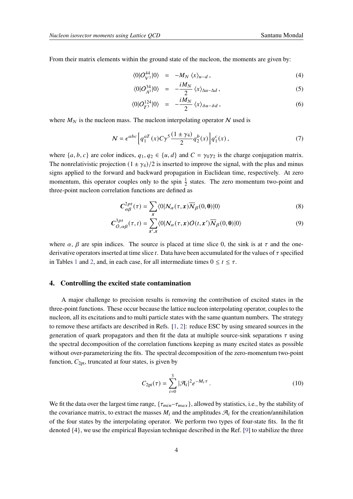From their matrix elements within the ground state of the nucleon, the moments are given by:

$$
\langle 0|O_{V^3}^{44}|0\rangle = -M_N \langle x \rangle_{u-d}, \qquad (4)
$$

$$
\langle 0|O_{A^3}^{34}|0\rangle = -\frac{iM_N}{2}\langle x\rangle_{\Delta u - \Delta d},\qquad(5)
$$

$$
\langle 0|O_{T^3}^{124}|0\rangle = -\frac{iM_N}{2}\langle x\rangle_{\delta u - \delta d},\qquad (6)
$$

where  $M_N$  is the nucleon mass. The nucleon interpolating operator N used is

$$
\mathcal{N} = \epsilon^{abc} \left[ q_1^{aT}(x) C \gamma^5 \frac{(1 \pm \gamma_4)}{2} q_2^b(x) \right] q_1^c(x) , \qquad (7)
$$

where  $\{a, b, c\}$  are color indices,  $q_1, q_2 \in \{u, d\}$  and  $C = \gamma_0 \gamma_2$  is the charge conjugation matrix. The nonrelativistic projection  $(1 \pm \gamma_4)/2$  is inserted to improve the signal, with the plus and minus signs applied to the forward and backward propagation in Euclidean time, respectively. At zero momentum, this operator couples only to the spin  $\frac{1}{2}$  states. The zero momentum two-point and three-point nucleon correlation functions are defined as

$$
C_{\alpha\beta}^{2pt}(\tau) = \sum_{x} \langle 0 | N_{\alpha}(\tau, x) \overline{N}_{\beta}(0, 0) | 0 \rangle \tag{8}
$$

$$
C_{O,\alpha\beta}^{3pt}(\tau,t) = \sum_{x',x} \langle 0|N_{\alpha}(\tau,x)O(t,x')\overline{N}_{\beta}(0,0)|0\rangle
$$
\n(9)

where  $\alpha$ ,  $\beta$  are spin indices. The source is placed at time slice 0, the sink is at  $\tau$  and the onederivative operators inserted at time slice  $t$ . Data have been accumulated for the values of  $\tau$  specified in Tables [1](#page-1-0) and [2,](#page-2-0) and, in each case, for all intermediate times  $0 \le t \le \tau$ .

# **4. Controlling the excited state contamination**

A major challenge to precision results is removing the contribution of excited states in the three-point functions. These occur because the lattice nucleon interpolating operator, couples to the nucleon, all its excitations and to multi particle states with the same quantum numbers. The strategy to remove these artifacts are described in Refs. [\[1,](#page-8-0) [2\]](#page-8-1): reduce ESC by using smeared sources in the generation of quark propagators and then fit the data at multiple source-sink separations  $\tau$  using the spectral decomposition of the correlation functions keeping as many excited states as possible without over-parameterizing the fits. The spectral decomposition of the zero-momentum two-point function,  $C_{2pt}$ , truncated at four states, is given by

<span id="page-3-0"></span>
$$
C_{2\text{pt}}(\tau) = \sum_{i=0}^{3} |\mathcal{A}_i|^2 e^{-M_i \tau} . \tag{10}
$$

We fit the data over the largest time range,  $\{\tau_{min} - \tau_{max}\}\$ , allowed by statistics, i.e., by the stability of the covariance matrix, to extract the masses  $M_i$  and the amplitudes  $\mathcal{A}_i$  for the creation/annihilation of the four states by the interpolating operator. We perform two types of four-state fits. In the fit denoted {4}, we use the empirical Bayesian technique described in the Ref. [\[9\]](#page-8-8) to stabilize the three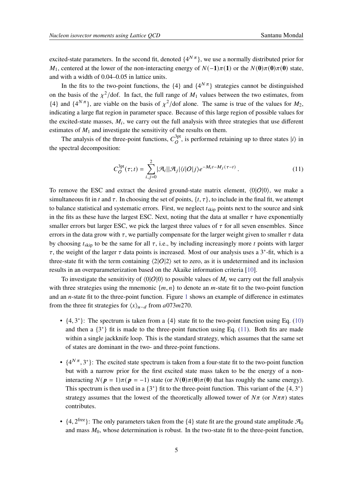excited-state parameters. In the second fit, denoted  $\{4^{N\pi}\}\$ , we use a normally distributed prior for  $M_1$ , centered at the lower of the non-interacting energy of  $N(-1)\pi(1)$  or the  $N(0)\pi(0)\pi(0)$  state, and with a width of 0.04–0.05 in lattice units.

In the fits to the two-point functions, the  $\{4\}$  and  $\{4^{N\pi}\}$  strategies cannot be distinguished on the basis of the  $\chi^2$ /dof. In fact, the full range of  $M_1$  values between the two estimates, from  $\{4\}$  and  $\{4^{N\pi}\}\$ , are viable on the basis of  $\chi^2$ /dof alone. The same is true of the values for  $M_2$ , indicating a large flat region in parameter space. Because of this large region of possible values for the excited-state masses,  $M_i$ , we carry out the full analysis with three strategies that use different estimates of  $M_1$  and investigate the sensitivity of the results on them.

The analysis of the three-point functions,  $C_Q^{3pt}$  $O<sup>3pt</sup>$ , is performed retaining up to three states  $|i\rangle$  in the spectral decomposition:

<span id="page-4-0"></span>
$$
C_O^{\text{3pt}}(\tau;t) = \sum_{i,j=0}^2 |\mathcal{A}_i||\mathcal{A}_j|\langle i|O|j\rangle e^{-M_i t - M_j(\tau - t)}.
$$
\n(11)

To remove the ESC and extract the desired ground-state matrix element,  $\langle 0|O|0\rangle$ , we make a simultaneous fit in t and  $\tau$ . In choosing the set of points,  $\{t, \tau\}$ , to include in the final fit, we attempt to balance statistical and systematic errors. First, we neglect  $t_{skip}$  points next to the source and sink in the fits as these have the largest ESC. Next, noting that the data at smaller  $\tau$  have exponentially smaller errors but larger ESC, we pick the largest three values of  $\tau$  for all seven ensembles. Since errors in the data grow with  $\tau$ , we partially compensate for the larger weight given to smaller  $\tau$  data by choosing  $t_{skip}$  to be the same for all  $\tau$ , i.e., by including increasingly more  $t$  points with larger  $\tau$ , the weight of the larger  $\tau$  data points is increased. Most of our analysis uses a 3<sup>\*</sup>-fit, which is a three-state fit with the term containing  $\langle 2|O|2 \rangle$  set to zero, as it is undetermined and its inclusion results in an overparameterization based on the Akaike information criteria [\[10\]](#page-8-9).

To investigate the sensitivity of  $\langle 0|O|0\rangle$  to possible values of  $M_i$  we carry out the full analysis with three strategies using the mnemonic  $\{m, n\}$  to denote an *m*-state fit to the two-point function and an  $n$ -state fit to the three-point function. Figure [1](#page-5-0) shows an example of difference in estimates from the three fit strategies for  $\langle x \rangle_{u-d}$  from  $a073m270$ .

- $\{4, 3^*\}$ : The spectrum is taken from a  $\{4\}$  state fit to the two-point function using Eq. [\(10\)](#page-3-0) and then a  $\{3^*\}$  fit is made to the three-point function using Eq. [\(11\)](#page-4-0). Both fits are made within a single jackknife loop. This is the standard strategy, which assumes that the same set of states are dominant in the two- and three-point functions.
- $\{4^{N\pi}, 3^*\}$ : The excited state spectrum is taken from a four-state fit to the two-point function but with a narrow prior for the first excited state mass taken to be the energy of a noninteracting  $N(p = 1)\pi(p = -1)$  state (or  $N(0)\pi(0)\pi(0)$ ) that has roughly the same energy). This spectrum is then used in a  $\{3^*\}$  fit to the three-point function. This variant of the  $\{4, 3^*\}$ strategy assumes that the lowest of the theoretically allowed tower of  $N\pi$  (or  $N\pi\pi$ ) states contributes.
- $\{4, 2^{\text{free}}\}$ : The only parameters taken from the  $\{4\}$  state fit are the ground state amplitude  $\mathcal{A}_0$ and mass  $M_0$ , whose determination is robust. In the two-state fit to the three-point function,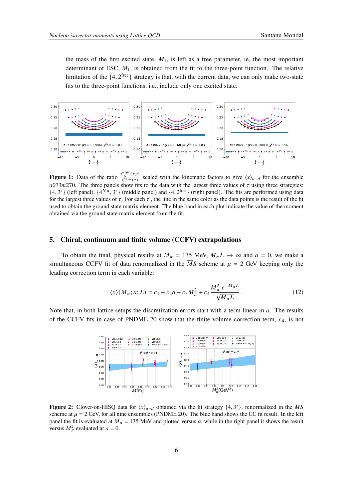the mass of the first excited state,  $M_1$ , is left as a free parameter, ie, the most important determinant of ESC,  $M_1$ , is obtained from the fit to the three-point function. The relative limitation of the  $\{4, 2^{\text{free}}\}$  strategy is that, with the current data, we can only make two-state fits to the three-point functions, i.e., include only one excited state.

<span id="page-5-0"></span>

**Figure 1:** Data of the ratio  $\frac{C_O^{3pt}(\tau,t)}{C_O^{2pt}(\tau)}$  $\frac{a}{C^2p^t(\tau)}$  scaled with the kinematic factors to give  $\langle x \rangle_{u-d}$  for the ensemble  $a073m270$ . The three panels show fits to the data with the largest three values of  $\tau$  using three strategies:  $\{4,3^*\}$  (left panel),  $\{4^{\tilde{N}\pi},3^*\}$  (middle panel) and  $\{4,2^{\text{free}}\}$  (right panel). The fits are performed using data for the largest three values of  $\tau$ . For each  $\tau$ , the line in the same color as the data points is the result of the fit used to obtain the ground state matrix element. The blue band in each plot indicate the value of the moment obtained via the ground state matrix element from the fit.

#### **5. Chiral, continuum and finite volume (CCFV) extrapolations**

To obtain the final, physical results at  $M_{\pi} = 135$  MeV,  $M_{\pi}L \rightarrow \infty$  and  $a = 0$ , we make a simultaneous CCFV fit of data renormalized in the  $\overline{M}S$  scheme at  $\mu = 2$  GeV keeping only the leading correction term in each variable:

<span id="page-5-1"></span>
$$
\langle x \rangle (M_{\pi}; a; L) = c_1 + c_2 a + c_3 M_{\pi}^2 + c_4 \frac{M_{\pi}^2 e^{-M_{\pi}L}}{\sqrt{M_{\pi}L}}.
$$
 (12)

<span id="page-5-2"></span>Note that, in both lattice setups the discretization errors start with a term linear in  $a$ . The results of the CCFV fits in case of PNDME 20 show that the finite volume correction term,  $c_4$ , is not



**Figure 2:** Clover-on-HISQ data for  $\langle x \rangle_{u-d}$  obtained via the fit strategy  $\{4, 3^*\}$ , renormalized in the  $\overline{MS}$ scheme at  $\mu = 2$  GeV, for all nine ensembles (PNDME 20). The blue band shows the CC fit result. In the left panel the fit is evaluated at  $M_{\pi} = 135$  MeV and plotted versus a, while in the right panel it shows the result versus  $M_{\pi}^2$  evaluated at  $a = 0$ .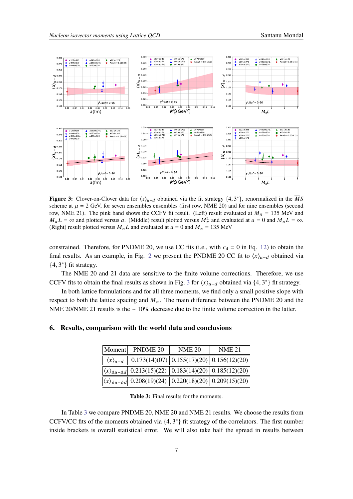<span id="page-6-0"></span>

**Figure 3:** Clover-on-Clover data for  $\langle x \rangle_{u-d}$  obtained via the fit strategy  $\{4, 3^*\}$ , renormalized in the  $\overline{M}S$ scheme at  $\mu = 2$  GeV, for seven ensembles ensembles (first row, NME 20) and for nine ensembles (second row, NME 21). The pink band shows the CCFV fit result. (Left) result evaluated at  $M_{\pi} = 135$  MeV and  $M_{\pi}L = \infty$  and plotted versus a. (Middle) result plotted versus  $M_{\pi}^2$  and evaluated at  $a = 0$  and  $M_{\pi}L = \infty$ . (Right) result plotted versus  $M_{\pi}L$  and evaluated at  $a = 0$  and  $M_{\pi} = 135$  MeV

constrained. Therefore, for PNDME 20, we use CC fits (i.e., with  $c_4 = 0$  in Eq. [12\)](#page-5-1) to obtain the final results. As an example, in Fig. [2](#page-5-2) we present the PNDME 20 CC fit to  $\langle x \rangle_{\mu-d}$  obtained via  ${4, 3^*}$  fit strategy.

The NME 20 and 21 data are sensitive to the finite volume corrections. Therefore, we use CCFV fits to obtain the final results as shown in Fig. [3](#page-6-0) for  $\langle x \rangle_{u-d}$  obtained via  $\{4, 3^*\}$  fit strategy.

In both lattice formulations and for all three moments, we find only a small positive slope with respect to both the lattice spacing and  $M_{\pi}$ . The main difference between the PNDME 20 and the NME 20/NME 21 results is the ∼ 10% decrease due to the finite volume correction in the latter.

## <span id="page-6-1"></span>**6. Results, comparison with the world data and conclusions**

|                           | Moment PNDME 20                                                                                                           | <b>NME 20</b>                               | <b>NME 21</b> |
|---------------------------|---------------------------------------------------------------------------------------------------------------------------|---------------------------------------------|---------------|
| $\langle x \rangle_{u-d}$ |                                                                                                                           | $0.173(14)(07)$ 0.155(17)(20) 0.156(12)(20) |               |
|                           | $\left \langle x \rangle_{\Delta u - \Delta d}\right $ 0.213(15)(22) $\left 0.183(14)(20)\right 0.185(12)(20)$            |                                             |               |
|                           | $\left \langle x\rangle_{\delta u-\delta d}\right $ 0.208(19)(24) $\left $ 0.220(18)(20) $\right $ 0.209(15)(20) $\left $ |                                             |               |

**Table 3:** Final results for the moments.

In Table [3](#page-6-1) we compare PNDME 20, NME 20 and NME 21 results. We choose the results from CCFV/CC fits of the moments obtained via  $\{4, 3^*\}$  fit strategy of the correlators. The first number inside brackets is overall statistical error. We will also take half the spread in results between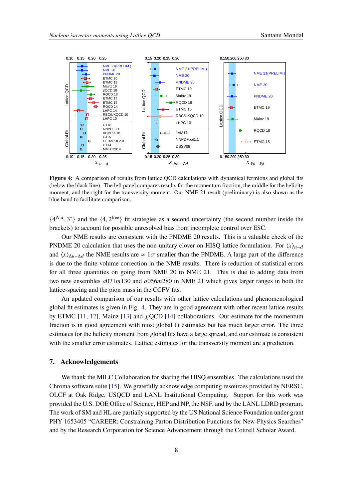<span id="page-7-0"></span>

**Figure 4:** A comparison of results from lattice QCD calculations with dynamical fermions and global fits (below the black line). The left panel compares results for the momentum fraction, the middle for the helicity moment, and the right for the transversity moment. Our NME 21 result (preliminary) is also shown as the blue band to facilitate comparison.

 $\{4^{N\pi},3^*\}$  and the  $\{4,2^{\text{free}}\}$  fit strategies as a second uncertainty (the second number inside the brackets) to account for possible unresolved bias from incomplete control over ESC.

Our NME results are consistent with the PNDME 20 results. This is a valuable check of the PNDME 20 calculation that uses the non-unitary clover-on-HISQ lattice formulation. For  $\langle x \rangle_{\mu-d}$ and  $\langle x \rangle_{\Delta u-\Delta d}$  the NME results are ≈ 1 $\sigma$  smaller than the PNDME. A large part of the difference is due to the finite-volume correction in the NME results. There is reduction of statistical errors for all three quantities on going from NME 20 to NME 21. This is due to adding data from two new ensembles  $a(071m130)$  and  $a(056m280)$  in NME 21 which gives larger ranges in both the lattice-spacing and the pion mass in the CCFV fits.

An updated comparison of our results with other lattice calculations and phenomenological global fit estimates is given in Fig. [4.](#page-7-0) They are in good agreement with other recent lattice results by ETMC [\[11,](#page-8-10) [12\]](#page-8-11), Mainz [\[13\]](#page-8-12) and  $\chi$ QCD [\[14\]](#page-8-13) collaborations. Our estimate for the momentum fraction is in good agreement with most global fit estimates but has much larger error. The three estimates for the helicity moment from global fits have a large spread, and our estimate is consistent with the smaller error estimates. Lattice estimates for the transversity moment are a prediction.

#### **7. Acknowledgements**

We thank the MILC Collaboration for sharing the HISQ ensembles. The calculations used the Chroma software suite [\[15\]](#page-8-14). We gratefully acknowledge computing resources provided by NERSC, OLCF at Oak Ridge, USQCD and LANL Institutional Computing. Support for this work was provided the U.S. DOE Office of Science, HEP and NP, the NSF, and by the LANL LDRD program. The work of SM and HL are partially supported by the US National Science Foundation under grant PHY 1653405 "CAREER: Constraining Parton Distribution Functions for New-Physics Searches" and by the Research Corporation for Science Advancement through the Cottrell Scholar Award.